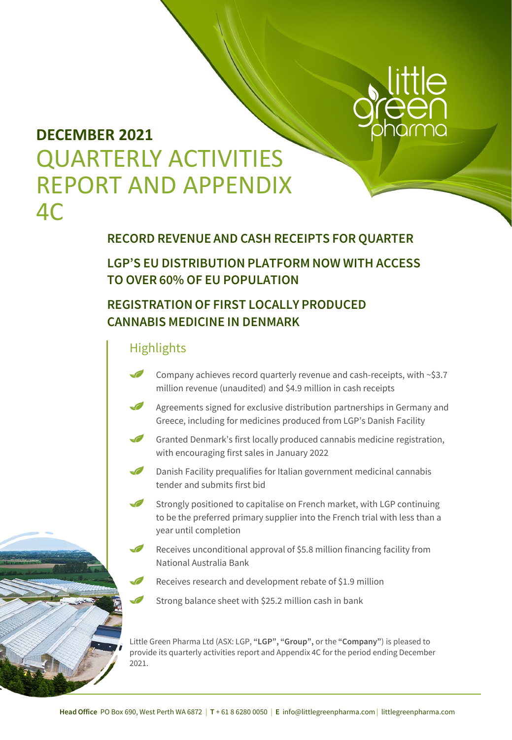

## **DECEMBER 2021**  QUARTERLY ACTIVITIES REPORT AND APPENDIX 4C

### **RECORD REVENUE AND CASH RECEIPTS FOR QUARTER**

### **LGP'S EU DISTRIBUTION PLATFORM NOW WITH ACCESS TO OVER 60% OF EU POPULATION**

### **REGISTRATION OF FIRST LOCALLY PRODUCED CANNABIS MEDICINE IN DENMARK**

### **Highlights**

- $\sqrt{2}$ Company achieves record quarterly revenue and cash-receipts, with ~\$3.7 million revenue (unaudited) and \$4.9 million in cash receipts
- $\sqrt{2}$ Agreements signed for exclusive distribution partnerships in Germany and Greece, including for medicines produced from LGP's Danish Facility
- Granted Denmark's first locally produced cannabis medicine registration, with encouraging first sales in January 2022
- $\sqrt{2}$ Danish Facility prequalifies for Italian government medicinal cannabis tender and submits first bid
- $\sqrt{2}$ Strongly positioned to capitalise on French market, with LGP continuing to be the preferred primary supplier into the French trial with less than a year until completion
- $\sqrt{2}$ Receives unconditional approval of \$5.8 million financing facility from National Australia Bank
	- Receives research and development rebate of \$1.9 million
	- Strong balance sheet with \$25.2 million cash in bank

Little Green Pharma Ltd (ASX: LGP, **"LGP", "Group",** or the **"Company"**) is pleased to provide its quarterly activities report and Appendix 4C for the period ending December 2021.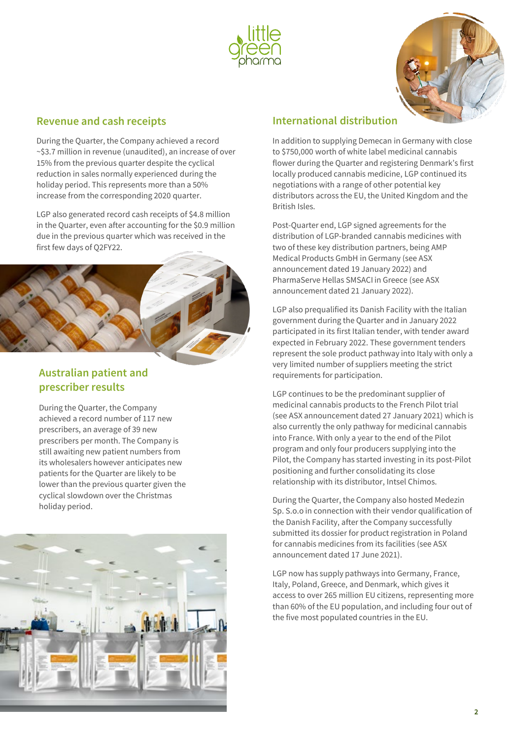



#### **Revenue and cash receipts**

During the Quarter, the Company achieved a record ~\$3.7 million in revenue (unaudited), an increase of over 15% from the previous quarter despite the cyclical reduction in sales normally experienced during the holiday period. This represents more than a 50% increase from the corresponding 2020 quarter.

LGP also generated record cash receipts of \$4.8 million in the Quarter, even after accounting for the \$0.9 million due in the previous quarter which was received in the first few days of Q2FY22.



### **Australian patient and prescriber results**

During the Quarter, the Company achieved a record number of 117 new prescribers, an average of 39 new prescribers per month. The Company is still awaiting new patient numbers from its wholesalers however anticipates new patients for the Quarter are likely to be lower than the previous quarter given the cyclical slowdown over the Christmas holiday period.



#### **International distribution**

In addition to supplying Demecan in Germany with close to \$750,000 worth of white label medicinal cannabis flower during the Quarter and registering Denmark's first locally produced cannabis medicine, LGP continued its negotiations with a range of other potential key distributors across the EU, the United Kingdom and the British Isles.

Post-Quarter end, LGP signed agreements for the distribution of LGP-branded cannabis medicines with two of these key distribution partners, being AMP Medical Products GmbH in Germany (see ASX announcement dated 19 January 2022) and PharmaServe Hellas SMSACI in Greece (see ASX announcement dated 21 January 2022).

LGP also prequalified its Danish Facility with the Italian government during the Quarter and in January 2022 participated in its first Italian tender, with tender award expected in February 2022. These government tenders represent the sole product pathway into Italy with only a very limited number of suppliers meeting the strict requirements for participation.

LGP continues to be the predominant supplier of medicinal cannabis products to the French Pilot trial (see ASX announcement dated 27 January 2021) which is also currently the only pathway for medicinal cannabis into France. With only a year to the end of the Pilot program and only four producers supplying into the Pilot, the Company has started investing in its post-Pilot positioning and further consolidating its close relationship with its distributor, Intsel Chimos.

During the Quarter, the Company also hosted Medezin Sp. S.o.o in connection with their vendor qualification of the Danish Facility, after the Company successfully submitted its dossier for product registration in Poland for cannabis medicines from its facilities (see ASX announcement dated 17 June 2021).

LGP now has supply pathways into Germany, France, Italy, Poland, Greece, and Denmark, which gives it access to over 265 million EU citizens, representing more than 60% of the EU population, and including four out of the five most populated countries in the EU.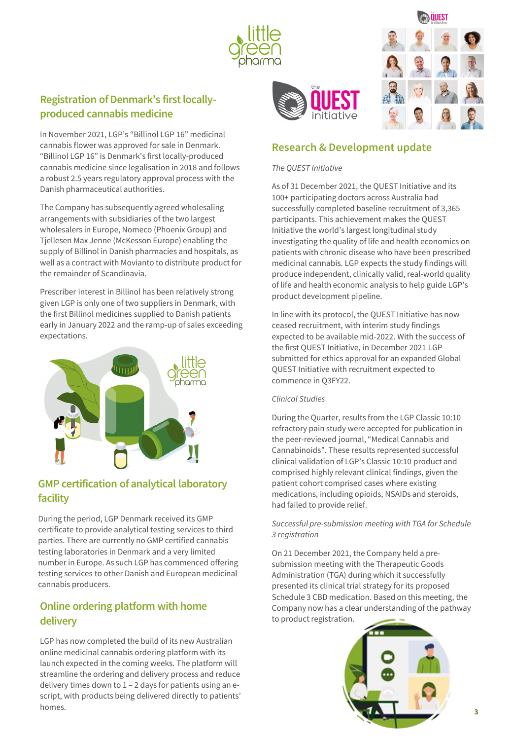



### **Registration of Denmark's first locallyproduced cannabis medicine**

In November 2021, LGP's "Billinol LGP 16" medicinal cannabis flower was approved for sale in Denmark. "Billinol LGP 16" is Denmark's first locally-produced cannabis medicine since legalisation in 2018 and follows a robust 2.5 years regulatory approval process with the Danish pharmaceutical authorities.

The Company has subsequently agreed wholesaling arrangements with subsidiaries of the two largest wholesalers in Europe, Nomeco (Phoenix Group) and Tjellesen Max Jenne (McKesson Europe) enabling the supply of Billinol in Danish pharmacies and hospitals, as well as a contract with Movianto to distribute product for the remainder of Scandinavia.

Prescriber interest in Billinol has been relatively strong given LGP is only one of two suppliers in Denmark, with the first Billinol medicines supplied to Danish patients early in January 2022 and the ramp-up of sales exceeding expectations.



### **GMP certification of analytical laboratory facility**

During the period, LGP Denmark received its GMP certificate to provide analytical testing services to third parties. There are currently no GMP certified cannabis testing laboratories in Denmark and a very limited number in Europe. As such LGP has commenced offering testing services to other Danish and European medicinal cannabis producers.

### **Online ordering platform with home delivery**

LGP has now completed the build of its new Australian online medicinal cannabis ordering platform with its launch expected in the coming weeks. The platform will streamline the ordering and delivery process and reduce delivery times down to  $1 - 2$  days for patients using an escript, with products being delivered directly to patients' homes.

#### **Research & Development update**

#### *The QUEST Initiative*

As of 31 December 2021, the QUEST Initiative and its 100+ participating doctors across Australia had successfully completed baseline recruitment of 3,365 participants. This achievement makes the QUEST Initiative the world's largest longitudinal study investigating the quality of life and health economics on patients with chronic disease who have been prescribed medicinal cannabis. LGP expects the study findings will produce independent, clinically valid, real-world quality of life and health economic analysis to help guide LGP's product development pipeline.

In line with its protocol, the QUEST Initiative has now ceased recruitment, with interim study findings expected to be available mid-2022. With the success of the first QUEST Initiative, in December 2021 LGP submitted for ethics approval for an expanded Global QUEST Initiative with recruitment expected to commence in Q3FY22.

#### *Clinical Studies*

During the Quarter, results from the LGP Classic 10:10 refractory pain study were accepted for publication in the peer-reviewed journal, "Medical Cannabis and Cannabinoids". These results represented successful clinical validation of LGP's Classic 10:10 product and comprised highly relevant clinical findings, given the patient cohort comprised cases where existing medications, including opioids, NSAIDs and steroids, had failed to provide relief.

#### *Successful pre-submission meeting with TGA for Schedule 3 registration*

On 21 December 2021, the Company held a presubmission meeting with the Therapeutic Goods Administration (TGA) during which it successfully presented its clinical trial strategy for its proposed Schedule 3 CBD medication. Based on this meeting, the Company now has a clear understanding of the pathway to product registration.

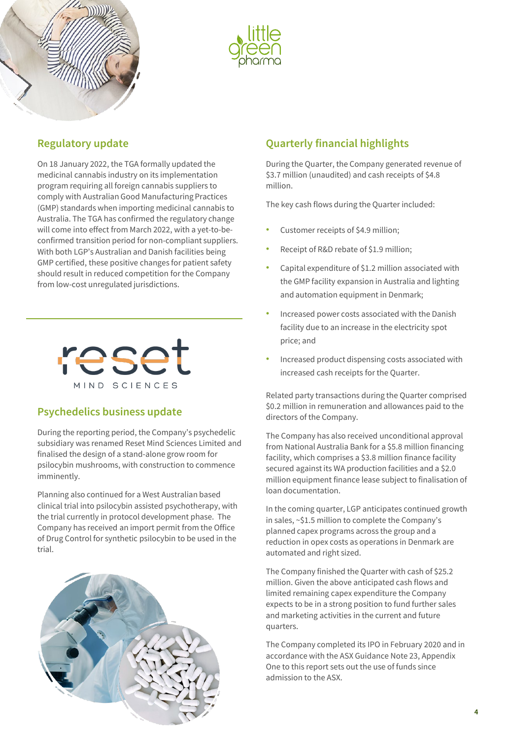



#### **Regulatory update**

On 18 January 2022, the TGA formally updated the medicinal cannabis industry on its implementation program requiring all foreign cannabis suppliers to comply with Australian Good Manufacturing Practices (GMP) standards when importing medicinal cannabis to Australia. The TGA has confirmed the regulatory change will come into effect from March 2022, with a yet-to-beconfirmed transition period for non-compliant suppliers. With both LGP's Australian and Danish facilities being GMP certified, these positive changes for patient safety should result in reduced competition for the Company from low-cost unregulated jurisdictions.



#### **Psychedelics business update**

During the reporting period, the Company's psychedelic subsidiary was renamed Reset Mind Sciences Limited and finalised the design of a stand-alone grow room for psilocybin mushrooms, with construction to commence imminently.

Planning also continued for a West Australian based clinical trial into psilocybin assisted psychotherapy, with the trial currently in protocol development phase. The Company has received an import permit from the Office of Drug Control for synthetic psilocybin to be used in the trial.



### **Quarterly financial highlights**

During the Quarter, the Company generated revenue of \$3.7 million (unaudited) and cash receipts of \$4.8 million.

The key cash flows during the Quarter included:

- Customer receipts of \$4.9 million;
- Receipt of R&D rebate of \$1.9 million;
- Capital expenditure of \$1.2 million associated with the GMP facility expansion in Australia and lighting and automation equipment in Denmark;
- Increased power costs associated with the Danish facility due to an increase in the electricity spot price; and
- Increased product dispensing costs associated with increased cash receipts for the Quarter.

Related party transactions during the Quarter comprised \$0.2 million in remuneration and allowances paid to the directors of the Company.

The Company has also received unconditional approval from National Australia Bank for a \$5.8 million financing facility, which comprises a \$3.8 million finance facility secured against its WA production facilities and a \$2.0 million equipment finance lease subject to finalisation of loan documentation.

In the coming quarter, LGP anticipates continued growth in sales, ~\$1.5 million to complete the Company's planned capex programs across the group and a reduction in opex costs as operations in Denmark are automated and right sized.

The Company finished the Quarter with cash of \$25.2 million. Given the above anticipated cash flows and limited remaining capex expenditure the Company expects to be in a strong position to fund further sales and marketing activities in the current and future quarters.

The Company completed its IPO in February 2020 and in accordance with the ASX Guidance Note 23, Appendix One to this report sets out the use of funds since admission to the ASX.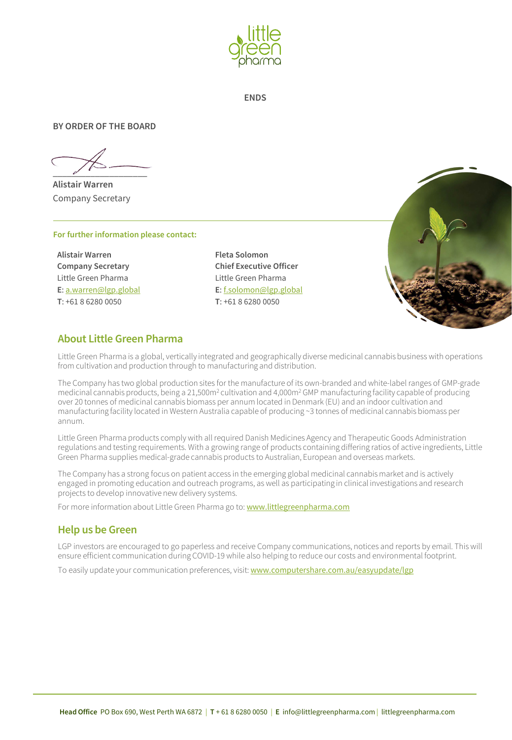

**ENDS**

#### **BY ORDER OF THE BOARD**

 $\overline{\phantom{a}}$ 

**Alistair Warren** Company Secretary

#### **For further information please contact:**

**Alistair Warren Company Secretary** Little Green Pharma **E**: [a.warren@lgp.global](mailto:a.warren@lgp.global) **T**: +61 8 6280 0050

**Fleta Solomon Chief Executive Officer** Little Green Pharma **E**: [f.solomon@lgp.global](mailto:fleta@lgpharma.com.au) **T**: +61 8 6280 0050



#### **About Little Green Pharma**

Little Green Pharma is a global, vertically integrated and geographically diverse medicinal cannabis business with operations from cultivation and production through to manufacturing and distribution.

The Company has two global production sites for the manufacture of its own-branded and white-label ranges of GMP-grade medicinal cannabis products, being a 21,500m2 cultivation and 4,000m2 GMP manufacturing facility capable of producing over 20 tonnes of medicinal cannabis biomass per annum located in Denmark (EU) and an indoor cultivation and manufacturing facility located in Western Australia capable of producing ~3 tonnes of medicinal cannabis biomass per annum.

Little Green Pharma products comply with all required Danish Medicines Agency and Therapeutic Goods Administration regulations and testing requirements. With a growing range of products containing differing ratios of active ingredients, Little Green Pharma supplies medical-grade cannabis products to Australian, European and overseas markets.

The Company has a strong focus on patient access in the emerging global medicinal cannabis market and is actively engaged in promoting education and outreach programs, as well as participating in clinical investigations and research projects to develop innovative new delivery systems.

For more information about Little Green Pharma go to: [www.littlegreenpharma.com](http://www.littlegreenpharma.com/)

#### **Help us be Green**

LGP investors are encouraged to go paperless and receive Company communications, notices and reports by email. This will ensure efficient communication during COVID-19 while also helping to reduce our costs and environmental footprint.

To easily update your communication preferences, visit: [www.computershare.com.au/easyupdate/lgp](http://www.computershare.com.au/easyupdate/lgp)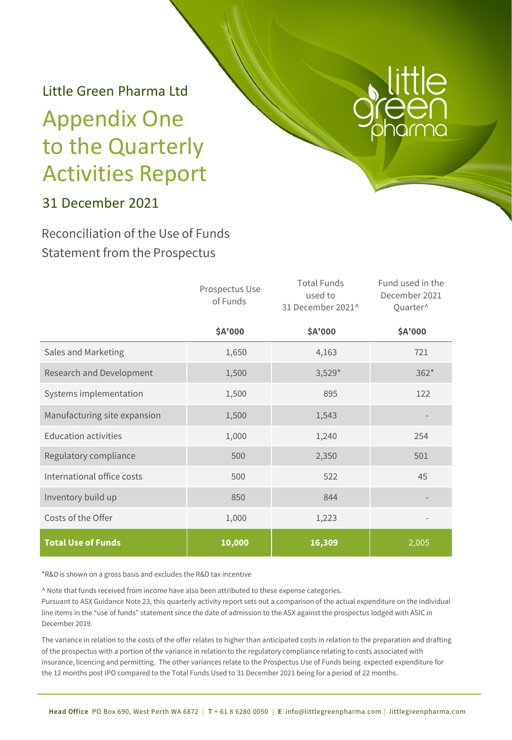# Little Green Pharma Ltd Appendix One to the Quarterly Activities Report



### 31 December 2021

### Reconciliation of the Use of Funds Statement from the Prospectus

|                              | Prospectus Use<br>of Funds | <b>Total Funds</b><br>used to<br>31 December 2021^ | Fund used in the<br>December 2021<br>Quarter^ |
|------------------------------|----------------------------|----------------------------------------------------|-----------------------------------------------|
|                              | \$A'000                    | \$A'000                                            | \$A'000                                       |
| Sales and Marketing          | 1,650                      | 4,163                                              | 721                                           |
| Research and Development     | 1,500                      | $3,529*$                                           | $362*$                                        |
| Systems implementation       | 1,500                      | 895                                                | 122                                           |
| Manufacturing site expansion | 1,500                      | 1,543                                              |                                               |
| <b>Education activities</b>  | 1,000                      | 1,240                                              | 254                                           |
| Regulatory compliance        | 500                        | 2,350                                              | 501                                           |
| International office costs   | 500                        | 522                                                | 45                                            |
| Inventory build up           | 850                        | 844                                                |                                               |
| Costs of the Offer           | 1,000                      | 1,223                                              |                                               |
| <b>Total Use of Funds</b>    | 10,000                     | 16,309                                             | 2,005                                         |

\*R&D is shown on a gross basis and excludes the R&D tax incentive

^ Note that funds received from income have also been attributed to these expense categories. Pursuant to ASX Guidance Note 23, this quarterly activity report sets out a comparison of the actual expenditure on the individual line items in the "use of funds" statement since the date of admission to the ASX against the prospectus lodged with ASIC in December 2019.

The variance in relation to the costs of the offer relates to higher than anticipated costs in relation to the preparation and drafting of the prospectus with a portion of the variance in relation to the regulatory compliance relating to costs associated with insurance, licencing and permitting. The other variances relate to the Prospectus Use of Funds being expected expenditure for the 12 months post IPO compared to the Total Funds Used to 31 December 2021 being for a period of 22 months.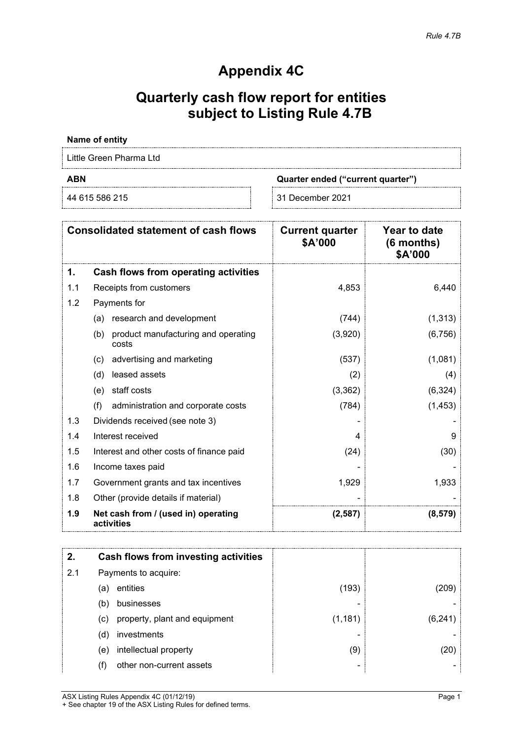### **Appendix 4C**

## **Quarterly cash flow report for entities subject to Listing Rule 4.7B**

#### **Name of entity**

Little Green Pharma Ltd

**ABN Quarter ended ("current quarter")**

44 615 586 215 31 December 2021

|     | <b>Consolidated statement of cash flows</b>         | <b>Current quarter</b><br>\$A'000 | <b>Year to date</b><br>$(6$ months)<br>\$A'000 |
|-----|-----------------------------------------------------|-----------------------------------|------------------------------------------------|
| 1.  | Cash flows from operating activities                |                                   |                                                |
| 1.1 | Receipts from customers                             | 4,853                             | 6,440                                          |
| 1.2 | Payments for                                        |                                   |                                                |
|     | research and development<br>(a)                     | (744)                             | (1, 313)                                       |
|     | product manufacturing and operating<br>(b)<br>costs | (3,920)                           | (6, 756)                                       |
|     | advertising and marketing<br>(c)                    | (537)                             | (1,081)                                        |
|     | leased assets<br>(d)                                | (2)                               | (4)                                            |
|     | staff costs<br>(e)                                  | (3,362)                           | (6, 324)                                       |
|     | (f)<br>administration and corporate costs           | (784)                             | (1, 453)                                       |
| 1.3 | Dividends received (see note 3)                     |                                   |                                                |
| 1.4 | Interest received                                   | 4                                 | 9                                              |
| 1.5 | Interest and other costs of finance paid            | (24)                              | (30)                                           |
| 1.6 | Income taxes paid                                   |                                   |                                                |
| 1.7 | Government grants and tax incentives                | 1,929                             | 1,933                                          |
| 1.8 | Other (provide details if material)                 |                                   |                                                |
| 1.9 | Net cash from / (used in) operating<br>activities   | (2, 587)                          | (8, 579)                                       |

|     |     | Cash flows from investing activities |          |        |
|-----|-----|--------------------------------------|----------|--------|
| 2.1 |     | Payments to acquire:                 |          |        |
|     | (a) | entities                             | (193)    | <∪ନ    |
|     | (b) | businesses                           |          |        |
|     | (c) | property, plant and equipment        | (1, 181) | (6.241 |
|     | (d) | investments                          |          |        |
|     | (e) | intellectual property                | (9)      |        |
|     |     | other non-current assets             |          |        |

ASX Listing Rules Appendix 4C (01/12/19) Page 1 + See chapter 19 of the ASX Listing Rules for defined terms.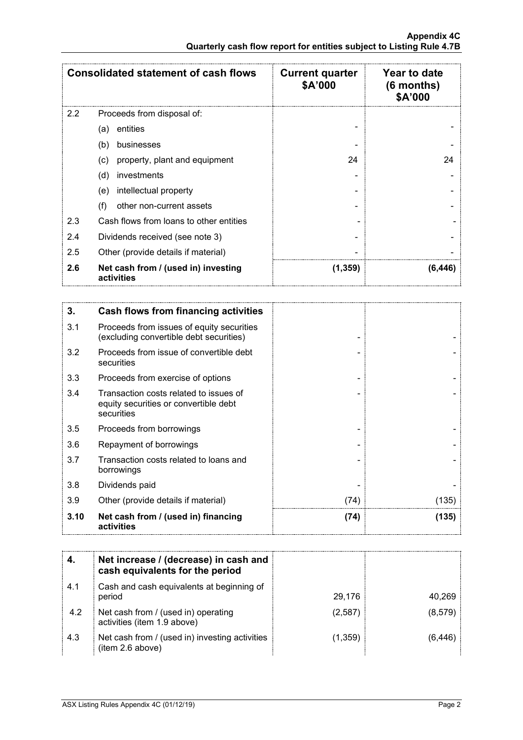|     | <b>Consolidated statement of cash flows</b>       | <b>Current quarter</b><br>\$A'000 | <b>Year to date</b><br>$(6$ months)<br>\$A'000 |
|-----|---------------------------------------------------|-----------------------------------|------------------------------------------------|
| 2.2 | Proceeds from disposal of:                        |                                   |                                                |
|     | entities<br>(a)                                   |                                   |                                                |
|     | (b)<br>businesses                                 |                                   |                                                |
|     | property, plant and equipment<br>(c)              | 24                                | 24                                             |
|     | (d)<br>investments                                |                                   |                                                |
|     | intellectual property<br>(e)                      |                                   |                                                |
|     | (f)<br>other non-current assets                   |                                   |                                                |
| 2.3 | Cash flows from loans to other entities           |                                   |                                                |
| 2.4 | Dividends received (see note 3)                   |                                   |                                                |
| 2.5 | Other (provide details if material)               |                                   |                                                |
| 2.6 | Net cash from / (used in) investing<br>activities | (1,359)                           | (6,446)                                        |

| 3.   | Cash flows from financing activities                                                          |      |       |
|------|-----------------------------------------------------------------------------------------------|------|-------|
| 3.1  | Proceeds from issues of equity securities<br>(excluding convertible debt securities)          |      |       |
| 3.2  | Proceeds from issue of convertible debt<br>securities                                         |      |       |
| 3.3  | Proceeds from exercise of options                                                             |      |       |
| 3.4  | Transaction costs related to issues of<br>equity securities or convertible debt<br>securities |      |       |
| 3.5  | Proceeds from borrowings                                                                      |      |       |
| 3.6  | Repayment of borrowings                                                                       |      |       |
| 3.7  | Transaction costs related to loans and<br>borrowings                                          |      |       |
| 3.8  | Dividends paid                                                                                |      |       |
| 3.9  | Other (provide details if material)                                                           | (74) | (135) |
| 3.10 | Net cash from / (used in) financing<br>activities                                             | (74) | (135) |

|     | Net increase / (decrease) in cash and<br>cash equivalents for the period |         |         |
|-----|--------------------------------------------------------------------------|---------|---------|
| 4.1 | Cash and cash equivalents at beginning of<br>period                      | 29.176  | 40.269  |
| 4.2 | Net cash from / (used in) operating<br>activities (item 1.9 above)       | (2,587) | (8,579) |
| 4.3 | Net cash from / (used in) investing activities<br>(item 2.6 above)       | (1,359) | (6.446  |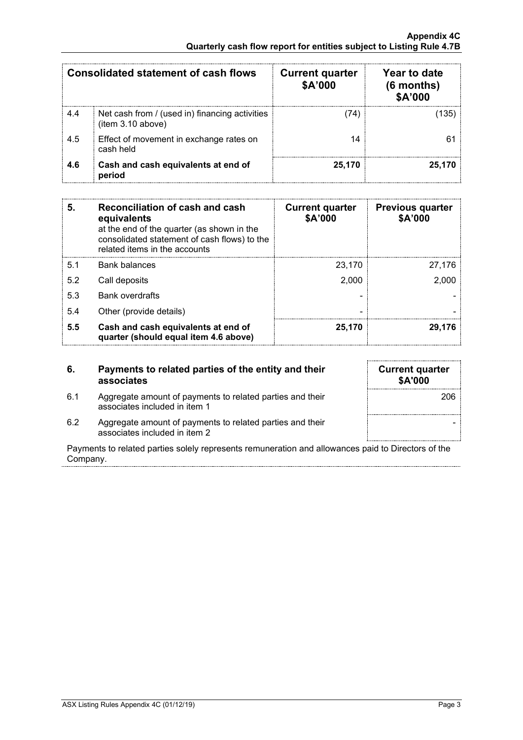|     | Consolidated statement of cash flows                                | <b>Current quarter</b><br>\$A'000 | Year to date<br>$(6$ months)<br>\$A'000 |
|-----|---------------------------------------------------------------------|-----------------------------------|-----------------------------------------|
| 4.4 | Net cash from / (used in) financing activities<br>(item 3.10 above) |                                   |                                         |
| 4.5 | Effect of movement in exchange rates on<br>cash held                |                                   |                                         |
| 4.6 | Cash and cash equivalents at end of<br>period                       | 25.170                            | 25.170                                  |

| 5.  | Reconciliation of cash and cash<br>equivalents<br>at the end of the quarter (as shown in the<br>consolidated statement of cash flows) to the<br>related items in the accounts | <b>Current quarter</b><br>\$A'000 | <b>Previous quarter</b><br>\$A'000 |
|-----|-------------------------------------------------------------------------------------------------------------------------------------------------------------------------------|-----------------------------------|------------------------------------|
| 5.1 | Bank balances                                                                                                                                                                 | 23.170                            | 27.176                             |
| 5.2 | Call deposits                                                                                                                                                                 | 2.000                             | 2.000                              |
| 5.3 | <b>Bank overdrafts</b>                                                                                                                                                        |                                   |                                    |
| 5.4 | Other (provide details)                                                                                                                                                       |                                   |                                    |
| 5.5 | Cash and cash equivalents at end of<br>quarter (should equal item 4.6 above)                                                                                                  | 25.170                            | 29.176                             |

#### **6. Payments to related parties of the entity and their associates**

- 6.1 Aggregate amount of payments to related parties and their associates included in item 1
- 6.2 Aggregate amount of payments to related parties and their associates included in item 2

| <b>Current quarter</b><br>\$A'000 |
|-----------------------------------|
| 206                               |
|                                   |

Payments to related parties solely represents remuneration and allowances paid to Directors of the Company.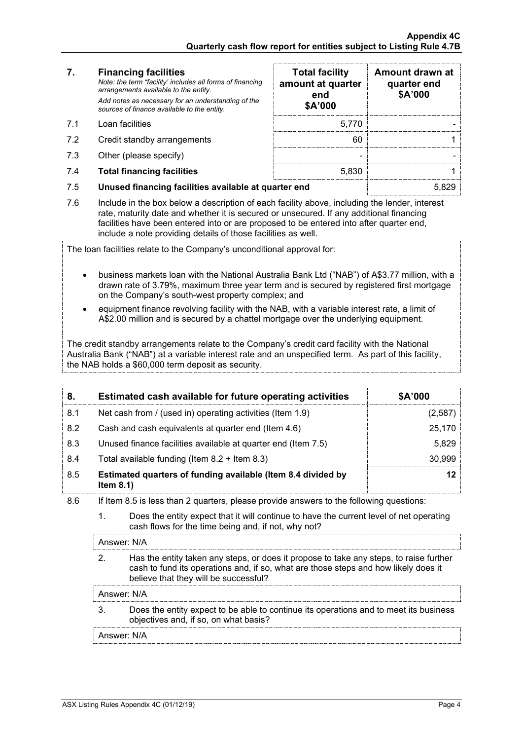| 7. | <b>Financing facilities</b>                                                                        |
|----|----------------------------------------------------------------------------------------------------|
|    | Note: the term "facility' includes all forms of financing<br>arrangements available to the entity. |
|    | Add notes as necessary for an understanding of the<br>sources of finance available to the entity.  |

- 
- 7.2 Credit standby arrangements
- $7.3$  Other (please specify)
- 7.4 **Total financing facilities** 5,830 1

| 7.  | <b>Financing facilities</b><br>Note: the term "facility' includes all forms of financing<br>arrangements available to the entity.<br>Add notes as necessary for an understanding of the<br>sources of finance available to the entity. | <b>Total facility</b><br>amount at quarter<br>end<br>\$A'000 | Amount drawn at<br>quarter end<br>\$A'000 |
|-----|----------------------------------------------------------------------------------------------------------------------------------------------------------------------------------------------------------------------------------------|--------------------------------------------------------------|-------------------------------------------|
| 71  | Loan facilities                                                                                                                                                                                                                        |                                                              |                                           |
| 7.2 | Credit standby arrangements                                                                                                                                                                                                            |                                                              |                                           |
| 7.3 | Other (please specify)                                                                                                                                                                                                                 |                                                              |                                           |
| 7.4 | <b>Total financing facilities</b>                                                                                                                                                                                                      | 5.830                                                        |                                           |
|     |                                                                                                                                                                                                                                        |                                                              | $\sim$ $\sim$ $\sim$                      |

- 7.5 **Unused financing facilities available at quarter end** 5,829
- 7.6 Include in the box below a description of each facility above, including the lender, interest rate, maturity date and whether it is secured or unsecured. If any additional financing facilities have been entered into or are proposed to be entered into after quarter end, include a note providing details of those facilities as well.

The loan facilities relate to the Company's unconditional approval for:

- business markets loan with the National Australia Bank Ltd ("NAB") of A\$3.77 million, with a drawn rate of 3.79%, maximum three year term and is secured by registered first mortgage on the Company's south-west property complex; and
- equipment finance revolving facility with the NAB, with a variable interest rate, a limit of A\$2.00 million and is secured by a chattel mortgage over the underlying equipment.

The credit standby arrangements relate to the Company's credit card facility with the National Australia Bank ("NAB") at a variable interest rate and an unspecified term. As part of this facility, the NAB holds a \$60,000 term deposit as security.

| 8.  | Estimated cash available for future operating activities                     | \$A'000 |
|-----|------------------------------------------------------------------------------|---------|
| 8.1 | Net cash from / (used in) operating activities (Item 1.9)                    | 2.587   |
| 8.2 | Cash and cash equivalents at quarter end (Item 4.6)                          | 25.170  |
| 8.3 | Unused finance facilities available at quarter end (Item 7.5)                | 5.829   |
| 8.4 | Total available funding (Item $8.2 +$ Item $8.3$ )                           | 30.999  |
| 8.5 | Estimated quarters of funding available (Item 8.4 divided by<br>Item $8.1$ ) |         |

- 8.6 If Item 8.5 is less than 2 quarters, please provide answers to the following questions:
	- 1. Does the entity expect that it will continue to have the current level of net operating cash flows for the time being and, if not, why not?

#### Answer: N/A

2. Has the entity taken any steps, or does it propose to take any steps, to raise further cash to fund its operations and, if so, what are those steps and how likely does it believe that they will be successful?

#### Answer: N/A

3. Does the entity expect to be able to continue its operations and to meet its business objectives and, if so, on what basis?

Answer: N/A